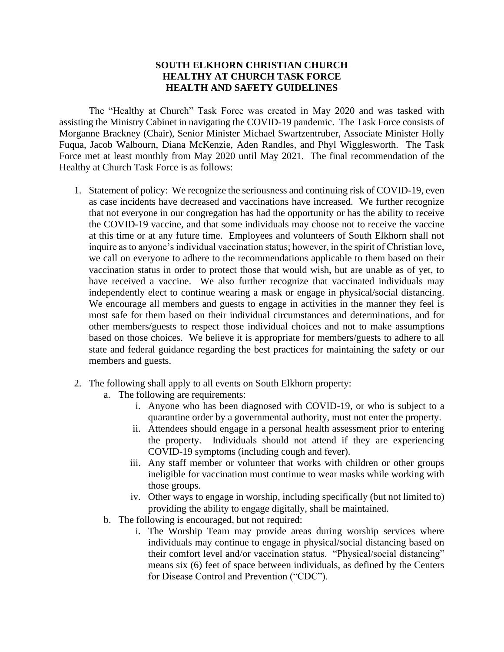## **SOUTH ELKHORN CHRISTIAN CHURCH HEALTHY AT CHURCH TASK FORCE HEALTH AND SAFETY GUIDELINES**

The "Healthy at Church" Task Force was created in May 2020 and was tasked with assisting the Ministry Cabinet in navigating the COVID-19 pandemic. The Task Force consists of Morganne Brackney (Chair), Senior Minister Michael Swartzentruber, Associate Minister Holly Fuqua, Jacob Walbourn, Diana McKenzie, Aden Randles, and Phyl Wigglesworth. The Task Force met at least monthly from May 2020 until May 2021. The final recommendation of the Healthy at Church Task Force is as follows:

- 1. Statement of policy: We recognize the seriousness and continuing risk of COVID-19, even as case incidents have decreased and vaccinations have increased. We further recognize that not everyone in our congregation has had the opportunity or has the ability to receive the COVID-19 vaccine, and that some individuals may choose not to receive the vaccine at this time or at any future time. Employees and volunteers of South Elkhorn shall not inquire as to anyone's individual vaccination status; however, in the spirit of Christian love, we call on everyone to adhere to the recommendations applicable to them based on their vaccination status in order to protect those that would wish, but are unable as of yet, to have received a vaccine. We also further recognize that vaccinated individuals may independently elect to continue wearing a mask or engage in physical/social distancing. We encourage all members and guests to engage in activities in the manner they feel is most safe for them based on their individual circumstances and determinations, and for other members/guests to respect those individual choices and not to make assumptions based on those choices. We believe it is appropriate for members/guests to adhere to all state and federal guidance regarding the best practices for maintaining the safety or our members and guests.
- 2. The following shall apply to all events on South Elkhorn property:
	- a. The following are requirements:
		- i. Anyone who has been diagnosed with COVID-19, or who is subject to a quarantine order by a governmental authority, must not enter the property.
		- ii. Attendees should engage in a personal health assessment prior to entering the property. Individuals should not attend if they are experiencing COVID-19 symptoms (including cough and fever).
		- iii. Any staff member or volunteer that works with children or other groups ineligible for vaccination must continue to wear masks while working with those groups.
		- iv. Other ways to engage in worship, including specifically (but not limited to) providing the ability to engage digitally, shall be maintained.
	- b. The following is encouraged, but not required:
		- i. The Worship Team may provide areas during worship services where individuals may continue to engage in physical/social distancing based on their comfort level and/or vaccination status. "Physical/social distancing" means six (6) feet of space between individuals, as defined by the Centers for Disease Control and Prevention ("CDC").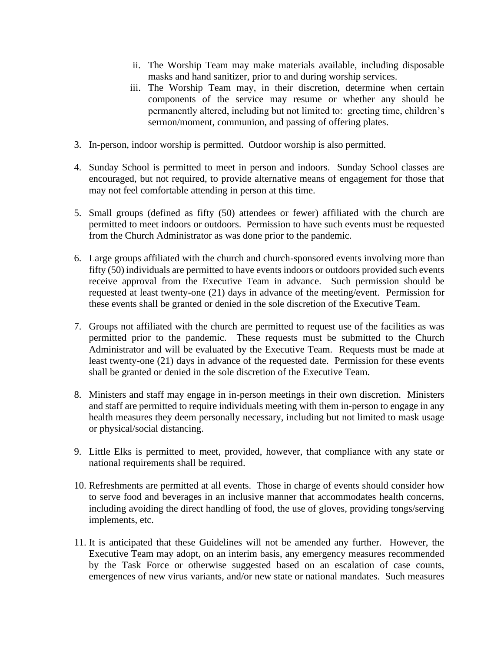- ii. The Worship Team may make materials available, including disposable masks and hand sanitizer, prior to and during worship services.
- iii. The Worship Team may, in their discretion, determine when certain components of the service may resume or whether any should be permanently altered, including but not limited to: greeting time, children's sermon/moment, communion, and passing of offering plates.
- 3. In-person, indoor worship is permitted. Outdoor worship is also permitted.
- 4. Sunday School is permitted to meet in person and indoors. Sunday School classes are encouraged, but not required, to provide alternative means of engagement for those that may not feel comfortable attending in person at this time.
- 5. Small groups (defined as fifty (50) attendees or fewer) affiliated with the church are permitted to meet indoors or outdoors. Permission to have such events must be requested from the Church Administrator as was done prior to the pandemic.
- 6. Large groups affiliated with the church and church-sponsored events involving more than fifty (50) individuals are permitted to have events indoors or outdoors provided such events receive approval from the Executive Team in advance. Such permission should be requested at least twenty-one (21) days in advance of the meeting/event. Permission for these events shall be granted or denied in the sole discretion of the Executive Team.
- 7. Groups not affiliated with the church are permitted to request use of the facilities as was permitted prior to the pandemic. These requests must be submitted to the Church Administrator and will be evaluated by the Executive Team. Requests must be made at least twenty-one (21) days in advance of the requested date. Permission for these events shall be granted or denied in the sole discretion of the Executive Team.
- 8. Ministers and staff may engage in in-person meetings in their own discretion. Ministers and staff are permitted to require individuals meeting with them in-person to engage in any health measures they deem personally necessary, including but not limited to mask usage or physical/social distancing.
- 9. Little Elks is permitted to meet, provided, however, that compliance with any state or national requirements shall be required.
- 10. Refreshments are permitted at all events. Those in charge of events should consider how to serve food and beverages in an inclusive manner that accommodates health concerns, including avoiding the direct handling of food, the use of gloves, providing tongs/serving implements, etc.
- 11. It is anticipated that these Guidelines will not be amended any further. However, the Executive Team may adopt, on an interim basis, any emergency measures recommended by the Task Force or otherwise suggested based on an escalation of case counts, emergences of new virus variants, and/or new state or national mandates. Such measures